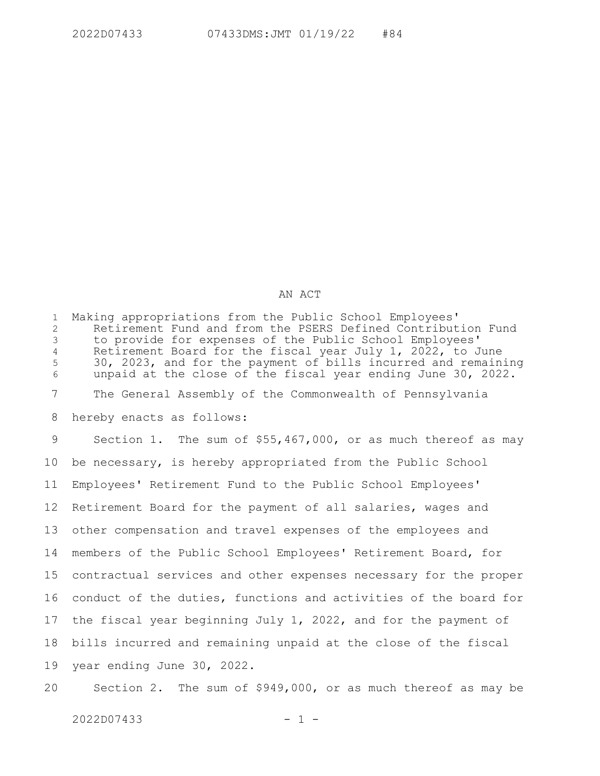## AN ACT

Making appropriations from the Public School Employees' Retirement Fund and from the PSERS Defined Contribution Fund to provide for expenses of the Public School Employees' Retirement Board for the fiscal year July 1, 2022, to June 30, 2023, and for the payment of bills incurred and remaining unpaid at the close of the fiscal year ending June 30, 2022. The General Assembly of the Commonwealth of Pennsylvania hereby enacts as follows: Section 1. The sum of \$55,467,000, or as much thereof as may be necessary, is hereby appropriated from the Public School Employees' Retirement Fund to the Public School Employees' Retirement Board for the payment of all salaries, wages and other compensation and travel expenses of the employees and members of the Public School Employees' Retirement Board, for contractual services and other expenses necessary for the proper conduct of the duties, functions and activities of the board for the fiscal year beginning July 1, 2022, and for the payment of bills incurred and remaining unpaid at the close of the fiscal year ending June 30, 2022. 1 2 3 4 5 6 7 8 9 10 11 12 13 14 15 16 17 18 19

Section 2. The sum of \$949,000, or as much thereof as may be 20

 $2022D07433$  - 1 -